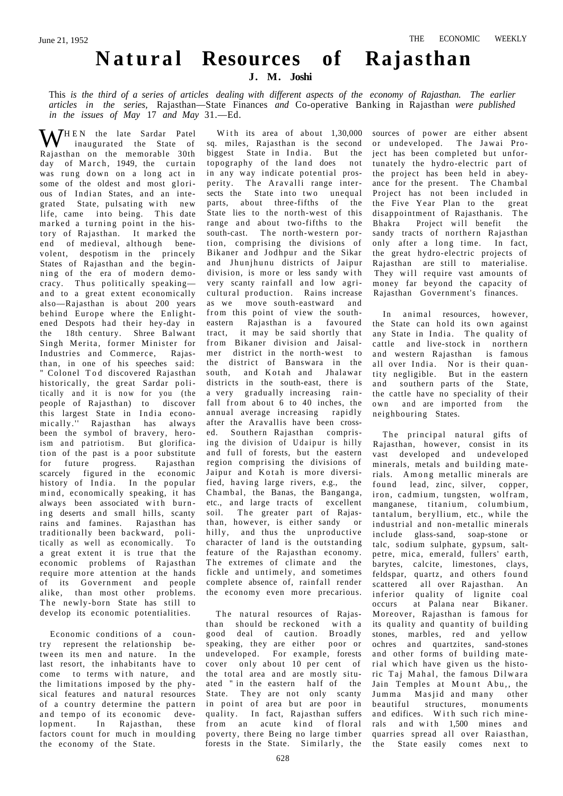## **Natura l Resources of Rajasthan**

## **J. M. Joshi**

This *is the third of a series of articles dealing with different aspects of the economy of Rajasthan. The earlier articles in the series,* Rajasthan—State Finances *and* Co-operative Banking in Rajasthan *were published in the issues of May* 17 *and May* 31.—Ed.

 $\mathbf{W}^{\text{HEN}}$  the late Sardar Patel inaugurated the State of Rajasthan on the memorable 30th day of March, 1949, the curtain was rung down on a long act in some of the oldest and most glorious of Indian States, and an integrated State, pulsating with new life, came into being. This date marked a turning point in the history of Rajasthan. It marked the end of medieval, although benevolent, despotism in the princely States of Rajasthan and the beginning of the era of modern democracy. Thus politically speakingand to a great extent economically also—Rajasthan is about 200 years behind Europe where the Enlightened Despots had their hey-day in the 18th century. Shree Balwant Singh Merita, former Minister for Industries and Commerce, Rajasthan, in one of his speeches said: " Colonel Tod discovered Rajasthan historically, the great Sardar politically and it is now for you (the people of Rajasthan) to discover this largest State in India economically." Rajasthan has always been the symbol of bravery, heroism and patriotism. But glorification of the past is a poor substitute for future progress. Rajasthan scarcely figured in the economic history of India. In the popular mind, economically speaking, it has always been associated with burning deserts and small hills, scanty rains and famines. Rajasthan has traditionally been backward, politically as well as economically. To a great extent it is true that the economic problems of Rajasthan require more attention at the hands of its Government and people alike, than most other problems. The newly-born State has still to develop its economic potentialities.

Economic conditions of a country represent the relationship between its men and nature. In the last resort, the inhabitants have to come to terms with nature, and the limitations imposed by the physical features and natural resources of a country determine the pattern and tempo of its economic development. In Rajasthan, these factors count for much in moulding the economy of the State.

With its area of about  $1,30,000$ sq. miles, Rajasthan is the second biggest State in India . But the topography of the land does not in any way indicate potential prosperity. The Aravalli range intersects the State into two unequal parts, about three-fifths of the State lies to the north-west of this range and about two-fifths to the south-cast. The north-western portion, comprising the divisions of Bikaner and Jodhpur and the Sikar and Jhunjhunu districts of Jaipur division, is more or less sandy with very scanty rainfall and low agricultural production. Rains increase as we move south-eastward and from this point of view the southeastern Rajasthan is a favoured tract, it may be said shortly that from Bikaner division and Jaisalmer district in the north-west to the district of Banswara in the south, and Kotah and Jhalawar districts in the south-east, there is a very gradually increasing rainfall from about 6 to 40 inches, the annual average increasing rapidly after the Aravallis have been crossed. Southern Rajasthan comprising the division of Udaipur is hilly and full of forests, but the eastern region comprising the divisions of Jaipur and Kotah is more diversified, having large rivers, e.g., the Chambal, the Banas, the Banganga, etc., and large tracts of excellent soil. The greater part of Rajasthan, however, is either sandy or hilly, and thus the unproductive character of land is the outstanding feature of the Rajasthan economy. The extremes of climate and the fickle and untimely, and sometimes complete absence of, rainfall render the economy even more precarious.

The natural resources of Rajasthan should be reckoned with a good deal of caution. Broadly speaking, they are either poor or undeveloped. For example, forests cover only about 10 per cent of the total area and are mostly situated " in the eastern half of the State. They are not only scanty in point of area but are poor in quality. In fact, Rajasthan suffers from an acute kind of floral poverty, there Being no large timber forests in the State. Similarly, the

sources of power are either absent or undeveloped. The Jawai Project has been completed but unfortunately the hydro-electric part of the project has been held in abeyance for the present. The Chambal Project has not been included in<br>the Five Year Plan to the great the Five Year Plan to the disappointment of Rajasthanis. The<br>Bhakra Project will benefit the Bhakra Project will benefit sandy tracts of northern Rajasthan only after a long time. In fact, the great hydro-electric projects of Rajasthan are still to materialise. They will require vast amounts of money far beyond the capacity of Rajasthan Government's finances.

In animal resources, however, the State can hold its own against any State in India. The quality of cattle and live-stock in northern and western Rajasthan is famous all over India. Nor is their quantity negligible. But in the eastern and southern parts of the State, the cattle have no speciality of their own and are imported from the neighbouring States.

The principal natural gifts of Rajasthan, however, consist in its vast developed and undeveloped minerals, metals and building materials. Among metallic minerals are found lead, zinc, silver, copper, iron, cadmium, tungsten, wolfram, manganese, titanium, columbium, tantalum, beryllium, etc., while the industrial and non-metallic minerals include glass-sand, soap-stone or talc, sodium sulphate, gypsum, saltpetre, mica, emerald, fullers' earth, barytes, calcite, limestones, clays, feldspar, quartz, and others found scattered all over Rajasthan. An inferior quality of lignite coal occurs at Palana near Bikaner. Moreover, Rajasthan is famous for its quality and quantity of building stones, marbles, red and yellow ochres and quartzites, sand-stones and other forms of building material which have given us the historic Taj Mahal, the famous Dilwara Jain Temples at Mount Abu,, the Jumma Masjid and many other beautiful structures, monuments and edifices. With such rich minerals and with 1,500 mines and quarries spread all over Raiasthan, the State easily comes next to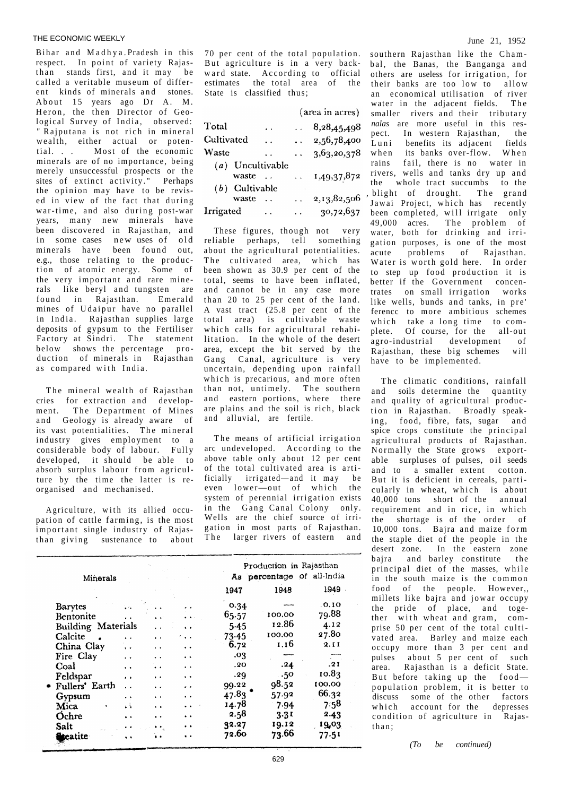## THE ECONOMIC WEEKLY June 21, 1952

Bihar and Madhya. Pradesh in this respect. In point of variety Rajasthan stands first, and it may be called a veritable museum of different kinds of minerals and stones. About 15 years ago Dr A. M. Heron, the then Director of Geological Survey of India, observed: " Rajputana is not rich in mineral wealth, either actual or potential. . . Most of the economic minerals are of no importance, being merely unsuccessful prospects or the sites of extinct activity." Perhaps the opinion may have to be revised in view of the fact that during war-time, and also during post-war years, many new minerals have been discovered in Rajasthan, and in some cases new uses of old minerals have been found out, e.g., those relating to the production of atomic energy. Some of the very important and rare minerals like beryl and tungsten are found in Rajasthan. Emerald mines of Udaipur have no parallel in India . Rajasthan supplies large deposits of gypsum to the Fertiliser Factory at Sindri. The statement below shows the percentage production of minerals in Rajasthan as compared with India.

The mineral wealth of Rajasthan cries for extraction and development. The Department of Mines and Geology is already aware of its vast potentialities. The mineral industry gives employment to a considerable body of labour. Fully developed, it should be able to absorb surplus labour from agriculture by the time the latter is reorganised and mechanised.

Agriculture, with its allied occupation of cattle farming, is the most important single industry of Rajasthan giving sustenance to about

| 70 per cent of the total population. |  |
|--------------------------------------|--|
| But agriculture is in a very back-   |  |
| ward state. According to official    |  |
| estimates the total area of the      |  |
| State is classified thus:            |  |

|                  |                  |                      |            | (area in acres)      |  |  |
|------------------|------------------|----------------------|------------|----------------------|--|--|
| Total            |                  | $\ddot{\phantom{0}}$ |            | 8,28,45,498          |  |  |
| Cultivated       |                  | $\ddot{\phantom{0}}$ |            | $\ldots$ 2,56,78,400 |  |  |
| Waste            |                  | $\ddot{\phantom{1}}$ |            | $\ldots$ 3,63,20,378 |  |  |
|                  | (a) Uncultivable |                      |            |                      |  |  |
|                  | waste            |                      | $\ddotsc$  | 1,49,37,872          |  |  |
|                  | $(b)$ Cultivable |                      |            |                      |  |  |
|                  | waste            | $\sim$               |            | 2,13,82,506          |  |  |
| <b>Irrigated</b> |                  | $\sim$ .             | a a contra | 30,72,637            |  |  |

These figures, though not very reliable perhaps, tell something about the agricultural potentialities. The cultivated area, which has been shown as 30.9 per cent of the total, seems to have been inflated, and cannot be in any case more than 20 to 25 per cent of the land. A vast tract (25.8 per cent of the total area) is cultivable waste which calls for agricultural rehabilitation. In the whole of the desert area, except the bit served by the Gang Canal, agriculture is very uncertain, depending upon rainfall which is precarious, and more often than not, untimely. The southern and eastern portions, where there are plains and the soil is rich, black and alluvial, are fertile.

The means of artificial irrigation arc undeveloped. According to the above table only about 12 per cent of the total cultivated area is artificially irrigated—and it may be  $even$  lower—out of which the system of perennial irrigation exists in the Gang Canal Colony only. Wells are the chief source of irrigation in most parts of Rajasthan. The larger rivers of eastern and

|                           |                      |                      | Production in Rajasthan |                            |        |        |
|---------------------------|----------------------|----------------------|-------------------------|----------------------------|--------|--------|
| <b>Minerals</b>           |                      |                      |                         | As percentage of all-India |        |        |
|                           |                      |                      |                         | 1947                       | 1948   | 1949   |
| <b>Barytes</b>            |                      |                      |                         | 0.34                       |        | .0.10  |
| Bentonite                 |                      |                      |                         | 65.57                      | 100.00 | 79.88  |
| <b>Building Materials</b> |                      |                      |                         | $5-45$                     | 12.86  | 4.12   |
| Calcite                   |                      | $\ddot{\phantom{a}}$ | $\ddot{\phantom{a}}$    | 73.45                      | 100.00 | 27.80  |
| China Clay                | $\ddot{\phantom{0}}$ | $\ddot{\phantom{1}}$ | $\ddot{\phantom{1}}$    | 6.72                       | 1.16   | 2.11   |
| Fire Clay                 | . .                  | . .                  | $\ddot{\phantom{1}}$    | .03                        |        |        |
| Coal                      | $\ddot{\phantom{1}}$ |                      | $\ddot{\phantom{1}}$    | .20                        | .24    | .21    |
| Feldspar                  | $\bullet$            | . .                  |                         | .29                        | .50    | 10.83  |
| Fullers' Earth            | $\ddot{\phantom{1}}$ |                      |                         | 99.22                      | 98.52  | 100.00 |
| Gypsum                    | $\bullet$            | $\ddot{\phantom{1}}$ |                         | 47.83                      | 57.92  | 66.32  |
| Mica                      | цÄ.                  | . .                  |                         | 14.78                      | 7.94   | 7.58   |
| Ochre                     | $\cdot$ .            | $\ddot{\phantom{1}}$ |                         | 2.58                       | 3.31   | 2.43   |
| Salt                      | . .                  |                      |                         | 92.27                      | 19.12  | 19,03  |
| <b>Recatite</b>           | $\ddot{\phantom{1}}$ |                      | $\cdot$                 | 72.60                      | 73.66  | 77.51  |

bal, the Banas, the Banganga and others are useless for irrigation, for their banks are too low to allow an economical utilisation of river water in the adjacent fields. The smaller rivers and their tributary *nalas* are more useful in this res-<br>nect In western Rajasthan the pect. In western Rajasthan,<br>Luni benefits its adiacent benefits its adjacent fields when its banks over-flow. When rains fail, there is no water in rivers, wells and tanks dry up and the whole tract succumbs to the , blight of drought. The grand Jawai Project, which has recently been completed, will irrigate only 49,000 acres. The problem of water, both for drinking and irrigation purposes, is one of the most acute problems of Rajasthan. Water is worth gold here. In order to step up food production it is better if the Government concentrates on small irrigation works like wells, bunds and tanks, in pre' ferencc to more ambitious schemes which take a long time to complete. Of course, for the all-out agro-industrial development of<br>Raiasthan these big schemes will  $Rajashan$ , these big schemes have to be implemented.

southern Rajasthan like the Cham-

The climatic conditions, rainfall and soils determine the quantity and quality of agricultural production in Rajasthan. Broadly speaking, food, fibre, fats, sugar and spice crops constitute the principal agricultural products of Rajasthan. Normally the State grows exportable surpluses of pulses, oil seeds and to a smaller extent cotton. But it is deficient in cereals, particularly in wheat, which is about 40,000 tons short of the annual requirement and in rice, in which the shortage is of the order of 10,000 tons. Bajra and maize form the staple diet of the people in the desert zone. In the eastern zone bajra and barley constitute the principal diet of the masses, while in the south maize is the common food of the people. However,, millets like bajra and jowar occupy the pride of place, and together with wheat and gram, comprise 50 per cent of the total cultivated area. Barley and maize each occupy more than 3 per cent and pulses about 5 per cent of such area. Rajasthan is a deficit State. But before taking up the foodpopulation problem, it is better to discuss some of the other factors<br>which account for the depresses account for the depresses condition of agriculture in Rajasthan ;

*(To be continued)*